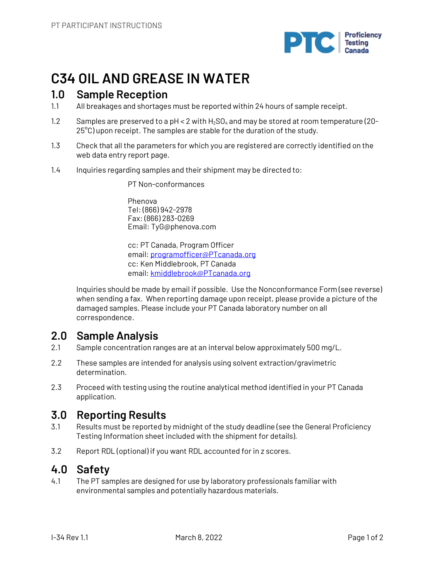

# **C34 OIL AND GREASE IN WATER**

### **1.0 Sample Reception**

- 1.1 All breakages and shortages must be reported within 24 hours of sample receipt.
- 1.2 Samples are preserved to a pH < 2 with  $H_2SO_4$  and may be stored at room temperature (20- $25^{\circ}$ C) upon receipt. The samples are stable for the duration of the study.
- 1.3 Check that all the parameters for which you are registered are correctly identified on the web data entry report page.
- 1.4 Inquiries regarding samples and their shipment may be directed to:

PT Non-conformances

Phenova Tel: (866) 942-2978 Fax: (866) 283-0269 Email: TyG@phenova.com

cc: PT Canada, Program Officer email: programofficer@PTcanada.org cc: Ken Middlebrook, PT Canada email: kmiddlebrook@PTcanada.org

Inquiries should be made by email if possible. Use the Nonconformance Form (see reverse) when sending a fax. When reporting damage upon receipt, please provide a picture of the damaged samples. Please include your PT Canada laboratory number on all correspondence.

## **2.0 Sample Analysis**

- 2.1 Sample concentration ranges are at an interval below approximately 500 mg/L.
- 2.2 These samples are intended for analysis using solvent extraction/gravimetric determination.
- 2.3 Proceed with testing using the routine analytical method identified in your PT Canada application.

## **3.0 Reporting Results**

- 3.1 Results must be reported by midnight of the study deadline (see the General Proficiency Testing Information sheet included with the shipment for details).
- 3.2 Report RDL (optional) if you want RDL accounted for in z scores.

## **4.0 Safety**

4.1 The PT samples are designed for use by laboratory professionals familiar with environmental samples and potentially hazardous materials.